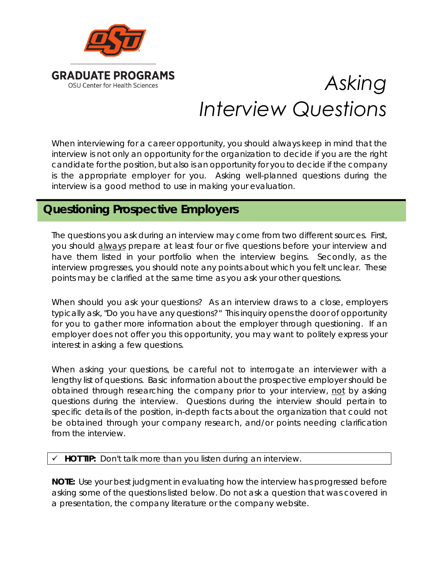

# *Asking Interview Questions*

When interviewing for a career opportunity, you should always keep in mind that the interview is not only an opportunity for the organization to decide if you are the right candidate for the position, but also is an opportunity for you to decide if the company is the appropriate employer for you. Asking well-planned questions during the interview is a good method to use in making your evaluation.

## **Questioning Prospective Employers**

The questions you ask during an interview may come from two different sources. First, you should always prepare at least four or five questions before your interview and have them listed in your portfolio when the interview begins. Secondly, as the interview progresses, you should note any points about which you felt unclear. These points may be clarified at the same time as you ask your other questions.

When should you ask your questions? As an interview draws to a close, employers typically ask, "Do you have any questions?" This inquiry opens the door of opportunity for you to gather more information about the employer through questioning. If an employer does not offer you this opportunity, you may want to politely express your interest in asking a few questions.

When asking your questions, be careful not to interrogate an interviewer with a lengthy list of questions. Basic information about the prospective employer should be obtained through researching the company prior to your interview, not by asking questions during the interview. Questions during the interview should pertain to specific details of the position, in-depth facts about the organization that could not be obtained through your company research, and/or points needing clarification from the interview.

#### **HOT TIP:** Don't talk more than you listen during an interview.

**NOTE:** Use your best judgment in evaluating how the interview has progressed before asking some of the questions listed below. Do not ask a question that was covered in a presentation, the company literature or the company website.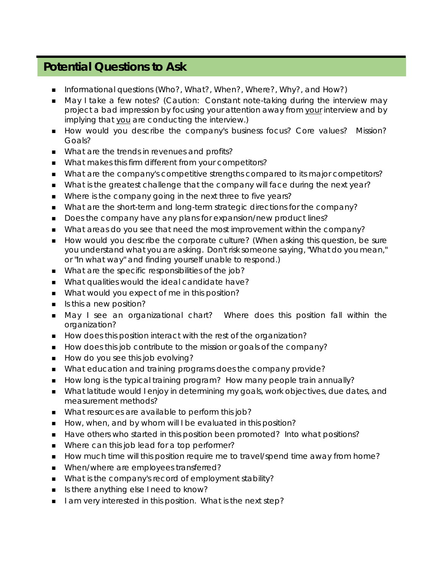### **Potential Questions to Ask**

- Informational questions (Who?, What?, When?, Where?, Why?, and How?)
- May I take a few notes? (Caution: Constant note-taking during the interview may project a bad impression by focusing your attention away from your interview and by implying that you are conducting the interview.)
- How would you describe the company's business focus? Core values? Mission? Goals?
- What are the trends in revenues and profits?
- What makes this firm different from your competitors?
- What are the company's competitive strengths compared to its major competitors?
- What is the greatest challenge that the company will face during the next year?
- Where is the company going in the next three to five years?
- What are the short-term and long-term strategic directions for the company?
- Does the company have any plans for expansion/new product lines?
- What areas do you see that need the most improvement within the company?
- How would you describe the corporate culture? (When asking this question, be sure you understand what you are asking. Don't risk someone saying, "What do you mean," or "In what way" and finding yourself unable to respond.)
- What are the specific responsibilities of the job?
- What qualities would the ideal candidate have?
- What would you expect of me in this position?
- $\blacksquare$  Is this a new position?
- May I see an organizational chart? Where does this position fall within the organization?
- How does this position interact with the rest of the organization?
- How does this job contribute to the mission or goals of the company?
- How do you see this job evolving?
- What education and training programs does the company provide?
- How long is the typical training program? How many people train annually?
- **Nhat latitude would I enjoy in determining my goals, work objectives, due dates, and** measurement methods?
- What resources are available to perform this job?
- How, when, and by whom will I be evaluated in this position?
- Have others who started in this position been promoted? Into what positions?
- Where can this job lead for a top performer?
- How much time will this position require me to travel/spend time away from home?
- When/where are employees transferred?
- What is the company's record of employment stability?
- Is there anything else I need to know?
- I am very interested in this position. What is the next step?